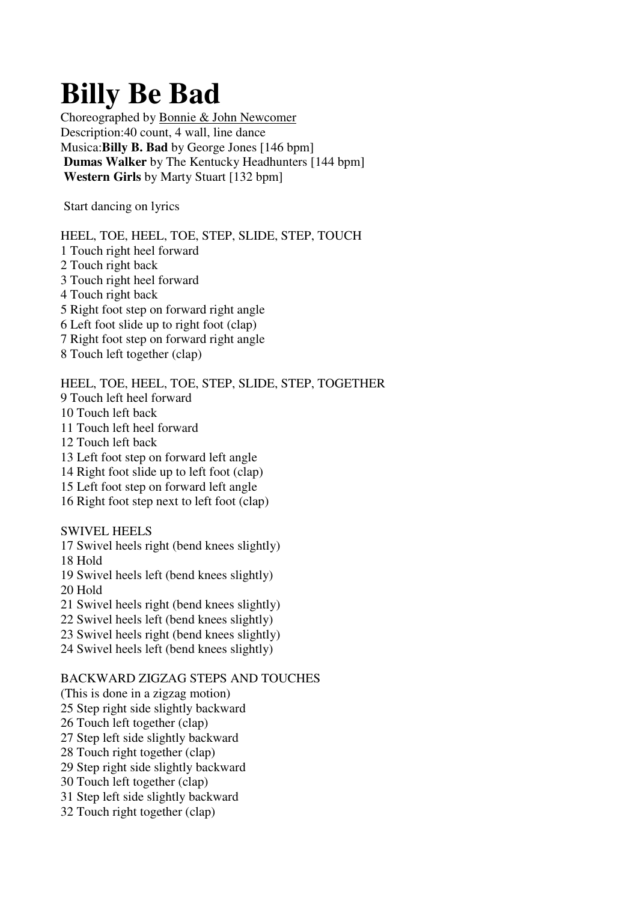## **Billy Be Bad**

Choreographed by Bonnie & John Newcomer Description:40 count, 4 wall, line dance Musica:**Billy B. Bad** by George Jones [146 bpm] **Dumas Walker** by The Kentucky Headhunters [144 bpm] **Western Girls** by Marty Stuart [132 bpm]

Start dancing on lyrics

HEEL, TOE, HEEL, TOE, STEP, SLIDE, STEP, TOUCH 1 Touch right heel forward 2 Touch right back 3 Touch right heel forward 4 Touch right back 5 Right foot step on forward right angle 6 Left foot slide up to right foot (clap) 7 Right foot step on forward right angle 8 Touch left together (clap)

HEEL, TOE, HEEL, TOE, STEP, SLIDE, STEP, TOGETHER

9 Touch left heel forward

10 Touch left back

11 Touch left heel forward

12 Touch left back

13 Left foot step on forward left angle

14 Right foot slide up to left foot (clap)

15 Left foot step on forward left angle

16 Right foot step next to left foot (clap)

SWIVEL HEELS 17 Swivel heels right (bend knees slightly) 18 Hold 19 Swivel heels left (bend knees slightly) 20 Hold 21 Swivel heels right (bend knees slightly) 22 Swivel heels left (bend knees slightly) 23 Swivel heels right (bend knees slightly) 24 Swivel heels left (bend knees slightly)

## BACKWARD ZIGZAG STEPS AND TOUCHES

(This is done in a zigzag motion) 25 Step right side slightly backward

26 Touch left together (clap)

27 Step left side slightly backward

28 Touch right together (clap)

29 Step right side slightly backward

30 Touch left together (clap)

31 Step left side slightly backward

32 Touch right together (clap)